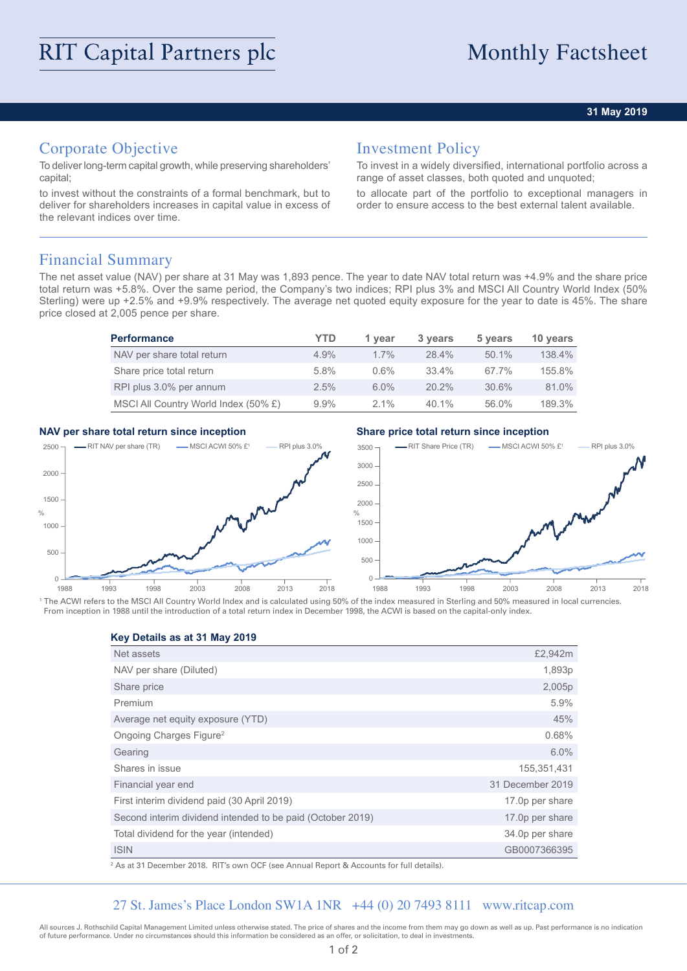### **31 May 2019**

# Corporate Objective

To deliver long-term capital growth, while preserving shareholders' capital;

to invest without the constraints of a formal benchmark, but to deliver for shareholders increases in capital value in excess of the relevant indices over time.

## Investment Policy

To invest in a widely diversified, international portfolio across a range of asset classes, both quoted and unquoted;

to allocate part of the portfolio to exceptional managers in order to ensure access to the best external talent available.

## Financial Summary

The net asset value (NAV) per share at 31 May was 1,893 pence. The year to date NAV total return was +4.9% and the share price total return was +5.8%. Over the same period, the Company's two indices; RPI plus 3% and MSCI All Country World Index (50% Sterling) were up +2.5% and +9.9% respectively. The average net quoted equity exposure for the year to date is 45%. The share price closed at 2,005 pence per share.

| <b>Performance</b>                   | YTD     | 1 year  | 3 years  | 5 years  | 10 years |
|--------------------------------------|---------|---------|----------|----------|----------|
| NAV per share total return           | $4.9\%$ | $1.7\%$ | 28.4%    | $50.1\%$ | 138.4%   |
| Share price total return             | 5.8%    | $0.6\%$ | $33.4\%$ | 67.7%    | 155.8%   |
| RPI plus 3.0% per annum              | $2.5\%$ | $6.0\%$ | $20.2\%$ | 30.6%    | 81.0%    |
| MSCI All Country World Index (50% £) | $9.9\%$ | $2.1\%$ | 40.1%    | 56.0%    | 189.3%   |

### **NAV per share total return since inception Share price total return since inception**



<sup>1</sup> The ACWI refers to the MSCI All Country World Index and is calculated using 50% of the index measured in Sterling and 50% measured in local currencies. From inception in 1988 until the introduction of a total return index in December 1998, the ACWI is based on the capital-only index.

**Key Details as at 31 May 2019**

| Net assets                                                 | £2,942m          |
|------------------------------------------------------------|------------------|
| NAV per share (Diluted)                                    | 1,893p           |
| Share price                                                | 2,005p           |
| Premium                                                    | 5.9%             |
| Average net equity exposure (YTD)                          | 45%              |
| Ongoing Charges Figure <sup>2</sup>                        | 0.68%            |
| Gearing                                                    | 6.0%             |
| Shares in issue                                            | 155,351,431      |
| Financial year end                                         | 31 December 2019 |
| First interim dividend paid (30 April 2019)                | 17.0p per share  |
| Second interim dividend intended to be paid (October 2019) | 17.0p per share  |
| Total dividend for the year (intended)                     | 34.0p per share  |
| <b>ISIN</b>                                                | GB0007366395     |

2 As at 31 December 2018. RIT's own OCF (see Annual Report & Accounts for full details).

## 27 St. James's Place London SW1A 1NR +44 (0) 20 7493 8111 www.ritcap.com

All sources J. Rothschild Capital Management Limited unless otherwise stated. The price of shares and the income from them may go down as well as up. Past performance is no indication of future performance. Under no circumstances should this information be considered as an offer, or solicitation, to deal in investments.